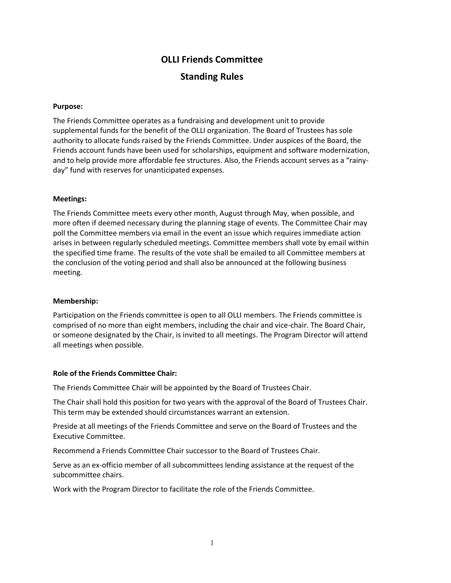# **OLLI Friends Committee Standing Rules**

## **Purpose:**

The Friends Committee operates as a fundraising and development unit to provide supplemental funds for the benefit of the OLLI organization. The Board of Trustees has sole authority to allocate funds raised by the Friends Committee. Under auspices of the Board, the Friends account funds have been used for scholarships, equipment and software modernization, and to help provide more affordable fee structures. Also, the Friends account serves as a "rainyday" fund with reserves for unanticipated expenses.

#### **Meetings:**

The Friends Committee meets every other month, August through May, when possible, and more often if deemed necessary during the planning stage of events. The Committee Chair may poll the Committee members via email in the event an issue which requires immediate action arises in between regularly scheduled meetings. Committee members shall vote by email within the specified time frame. The results of the vote shall be emailed to all Committee members at the conclusion of the voting period and shall also be announced at the following business meeting.

#### **Membership:**

Participation on the Friends committee is open to all OLLI members. The Friends committee is comprised of no more than eight members, including the chair and vice-chair. The Board Chair, or someone designated by the Chair, is invited to all meetings. The Program Director will attend all meetings when possible.

#### **Role of the Friends Committee Chair:**

The Friends Committee Chair will be appointed by the Board of Trustees Chair.

The Chair shall hold this position for two years with the approval of the Board of Trustees Chair. This term may be extended should circumstances warrant an extension.

Preside at all meetings of the Friends Committee and serve on the Board of Trustees and the Executive Committee.

Recommend a Friends Committee Chair successor to the Board of Trustees Chair.

Serve as an ex-officio member of all subcommittees lending assistance at the request of the subcommittee chairs.

Work with the Program Director to facilitate the role of the Friends Committee.